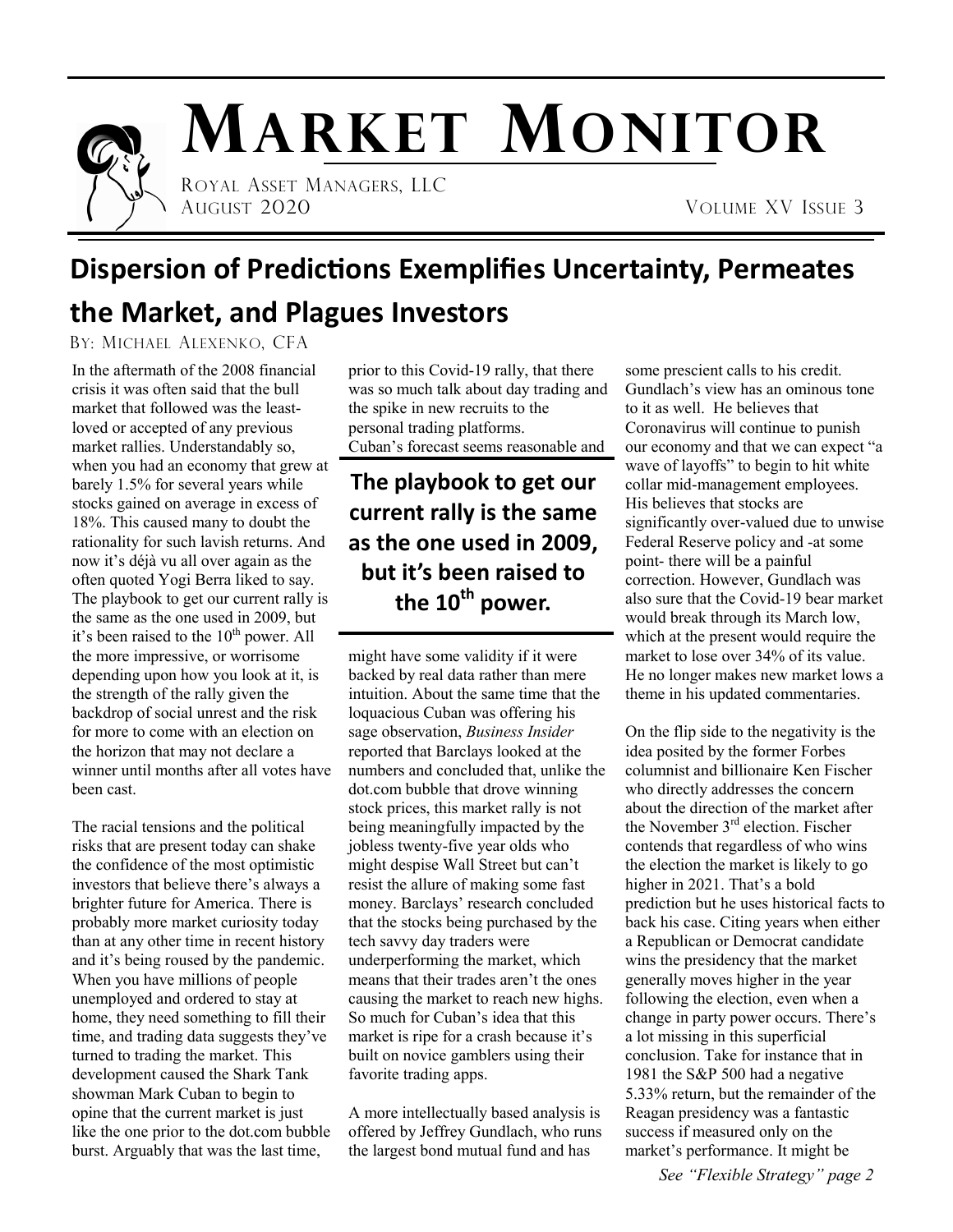# **MARKET MONITOR**

 ROYAL ASSET MANAGERS, LLC AUGUST 2020 VOLUME XV ISSUE 3

# **Dispersion of Predictions Exemplifies Uncertainty, Permeates the Market, and Plagues Investors**

BY: MICHAEL ALEXENKO, CFA

In the aftermath of the 2008 financial crisis it was often said that the bull market that followed was the leastloved or accepted of any previous market rallies. Understandably so, when you had an economy that grew at barely 1.5% for several years while stocks gained on average in excess of 18%. This caused many to doubt the rationality for such lavish returns. And now it's déjà vu all over again as the often quoted Yogi Berra liked to say. The playbook to get our current rally is the same as the one used in 2009, but it's been raised to the  $10<sup>th</sup>$  power. All the more impressive, or worrisome depending upon how you look at it, is the strength of the rally given the backdrop of social unrest and the risk for more to come with an election on the horizon that may not declare a winner until months after all votes have been cast.

The racial tensions and the political risks that are present today can shake the confidence of the most optimistic investors that believe there's always a brighter future for America. There is probably more market curiosity today than at any other time in recent history and it's being roused by the pandemic. When you have millions of people unemployed and ordered to stay at home, they need something to fill their time, and trading data suggests they've turned to trading the market. This development caused the Shark Tank showman Mark Cuban to begin to opine that the current market is just like the one prior to the dot.com bubble burst. Arguably that was the last time,

prior to this Covid-19 rally, that there was so much talk about day trading and the spike in new recruits to the personal trading platforms. Cuban's forecast seems reasonable and

#### **The playbook to get our current rally is the same as the one used in 2009, but it's been raised to the 10th power.**

might have some validity if it were backed by real data rather than mere intuition. About the same time that the loquacious Cuban was offering his sage observation, *Business Insider* reported that Barclays looked at the numbers and concluded that, unlike the dot.com bubble that drove winning stock prices, this market rally is not being meaningfully impacted by the jobless twenty-five year olds who might despise Wall Street but can't resist the allure of making some fast money. Barclays' research concluded that the stocks being purchased by the tech savvy day traders were underperforming the market, which means that their trades aren't the ones causing the market to reach new highs. So much for Cuban's idea that this market is ripe for a crash because it's built on novice gamblers using their favorite trading apps.

A more intellectually based analysis is offered by Jeffrey Gundlach, who runs the largest bond mutual fund and has

some prescient calls to his credit. Gundlach's view has an ominous tone to it as well. He believes that Coronavirus will continue to punish our economy and that we can expect "a wave of layoffs" to begin to hit white collar mid-management employees. His believes that stocks are significantly over-valued due to unwise Federal Reserve policy and -at some point- there will be a painful correction. However, Gundlach was also sure that the Covid-19 bear market would break through its March low, which at the present would require the market to lose over 34% of its value. He no longer makes new market lows a theme in his updated commentaries.

On the flip side to the negativity is the idea posited by the former Forbes columnist and billionaire Ken Fischer who directly addresses the concern about the direction of the market after the November 3<sup>rd</sup> election. Fischer contends that regardless of who wins the election the market is likely to go higher in 2021. That's a bold prediction but he uses historical facts to back his case. Citing years when either a Republican or Democrat candidate wins the presidency that the market generally moves higher in the year following the election, even when a change in party power occurs. There's a lot missing in this superficial conclusion. Take for instance that in 1981 the S&P 500 had a negative 5.33% return, but the remainder of the Reagan presidency was a fantastic success if measured only on the market's performance. It might be

*See "Flexible Strategy" page 2*